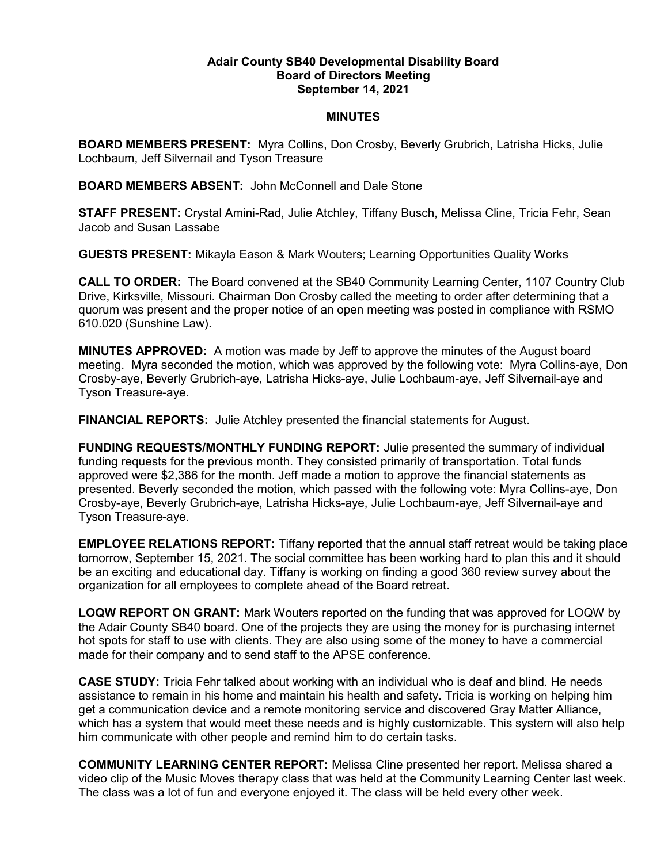## Adair County SB40 Developmental Disability Board Board of Directors Meeting September 14, 2021

## MINUTES

BOARD MEMBERS PRESENT: Myra Collins, Don Crosby, Beverly Grubrich, Latrisha Hicks, Julie Lochbaum, Jeff Silvernail and Tyson Treasure

BOARD MEMBERS ABSENT: John McConnell and Dale Stone

STAFF PRESENT: Crystal Amini-Rad, Julie Atchley, Tiffany Busch, Melissa Cline, Tricia Fehr, Sean Jacob and Susan Lassabe

GUESTS PRESENT: Mikayla Eason & Mark Wouters; Learning Opportunities Quality Works

CALL TO ORDER: The Board convened at the SB40 Community Learning Center, 1107 Country Club Drive, Kirksville, Missouri. Chairman Don Crosby called the meeting to order after determining that a quorum was present and the proper notice of an open meeting was posted in compliance with RSMO 610.020 (Sunshine Law).

MINUTES APPROVED: A motion was made by Jeff to approve the minutes of the August board meeting. Myra seconded the motion, which was approved by the following vote: Myra Collins-aye, Don Crosby-aye, Beverly Grubrich-aye, Latrisha Hicks-aye, Julie Lochbaum-aye, Jeff Silvernail-aye and Tyson Treasure-aye.

FINANCIAL REPORTS: Julie Atchley presented the financial statements for August.

FUNDING REQUESTS/MONTHLY FUNDING REPORT: Julie presented the summary of individual funding requests for the previous month. They consisted primarily of transportation. Total funds approved were \$2,386 for the month. Jeff made a motion to approve the financial statements as presented. Beverly seconded the motion, which passed with the following vote: Myra Collins-aye, Don Crosby-aye, Beverly Grubrich-aye, Latrisha Hicks-aye, Julie Lochbaum-aye, Jeff Silvernail-aye and Tyson Treasure-aye.

EMPLOYEE RELATIONS REPORT: Tiffany reported that the annual staff retreat would be taking place tomorrow, September 15, 2021. The social committee has been working hard to plan this and it should be an exciting and educational day. Tiffany is working on finding a good 360 review survey about the organization for all employees to complete ahead of the Board retreat.

LOQW REPORT ON GRANT: Mark Wouters reported on the funding that was approved for LOQW by the Adair County SB40 board. One of the projects they are using the money for is purchasing internet hot spots for staff to use with clients. They are also using some of the money to have a commercial made for their company and to send staff to the APSE conference.

CASE STUDY: Tricia Fehr talked about working with an individual who is deaf and blind. He needs assistance to remain in his home and maintain his health and safety. Tricia is working on helping him get a communication device and a remote monitoring service and discovered Gray Matter Alliance, which has a system that would meet these needs and is highly customizable. This system will also help him communicate with other people and remind him to do certain tasks.

COMMUNITY LEARNING CENTER REPORT: Melissa Cline presented her report. Melissa shared a video clip of the Music Moves therapy class that was held at the Community Learning Center last week. The class was a lot of fun and everyone enjoyed it. The class will be held every other week.